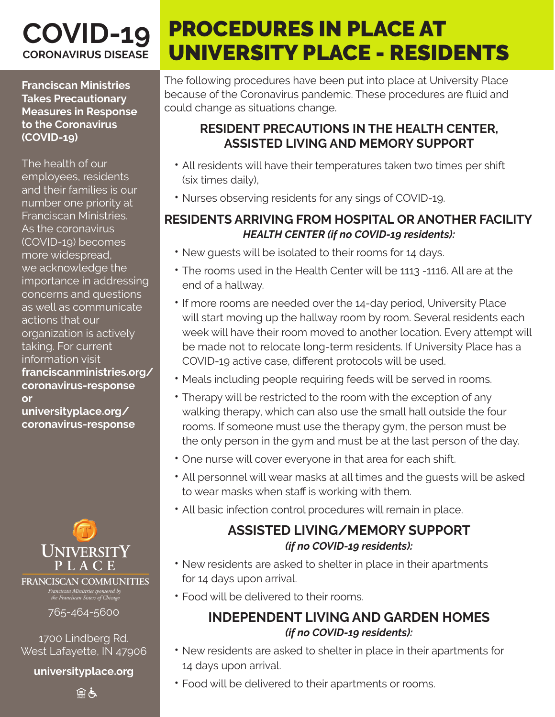## **COVID-19 CORONAVIRUS DISEASE**

**Franciscan Ministries Takes Precautionary Measures in Response to the Coronavirus (COVID-19)**

The health of our employees, residents and their families is our number one priority at Franciscan Ministries. As the coronavirus (COVID-19) becomes more widespread, we acknowledge the importance in addressing concerns and questions as well as communicate actions that our organization is actively taking. For current information visit **franciscanministries.org/ coronavirus-response or** 

**universityplace.org/ coronavirus-response**



*Franciscan Ministries sponsored by the Franciscan Sisters of Chicago* **FRANCISCAN COMMUNITIES**

765-464-5600

1700 Lindberg Rd. West Lafayette, IN 47906

**universityplace.org**

自占

# PROCEDURES IN PLACE AT UNIVERSITY PLACE - RESIDENTS

The following procedures have been put into place at University Place because of the Coronavirus pandemic. These procedures are fluid and could change as situations change.

#### **RESIDENT PRECAUTIONS IN THE HEALTH CENTER, ASSISTED LIVING AND MEMORY SUPPORT**

- All residents will have their temperatures taken two times per shift (six times daily),
- Nurses observing residents for any sings of COVID-19.

#### **RESIDENTS ARRIVING FROM HOSPITAL OR ANOTHER FACILITY** *HEALTH CENTER (if no COVID-19 residents):*

- New guests will be isolated to their rooms for 14 days.
- The rooms used in the Health Center will be 1113 -1116. All are at the end of a hallway.
- If more rooms are needed over the 14-day period, University Place will start moving up the hallway room by room. Several residents each week will have their room moved to another location. Every attempt will be made not to relocate long-term residents. If University Place has a COVID-19 active case, different protocols will be used.
- Meals including people requiring feeds will be served in rooms.
- Therapy will be restricted to the room with the exception of any walking therapy, which can also use the small hall outside the four rooms. If someone must use the therapy gym, the person must be the only person in the gym and must be at the last person of the day.
- One nurse will cover everyone in that area for each shift.
- All personnel will wear masks at all times and the guests will be asked to wear masks when staff is working with them.
- All basic infection control procedures will remain in place.

#### **ASSISTED LIVING/MEMORY SUPPORT** *(if no COVID-19 residents):*

- New residents are asked to shelter in place in their apartments for 14 days upon arrival.
- Food will be delivered to their rooms.

#### **INDEPENDENT LIVING AND GARDEN HOMES** *(if no COVID-19 residents):*

- New residents are asked to shelter in place in their apartments for 14 days upon arrival.
- Food will be delivered to their apartments or rooms.